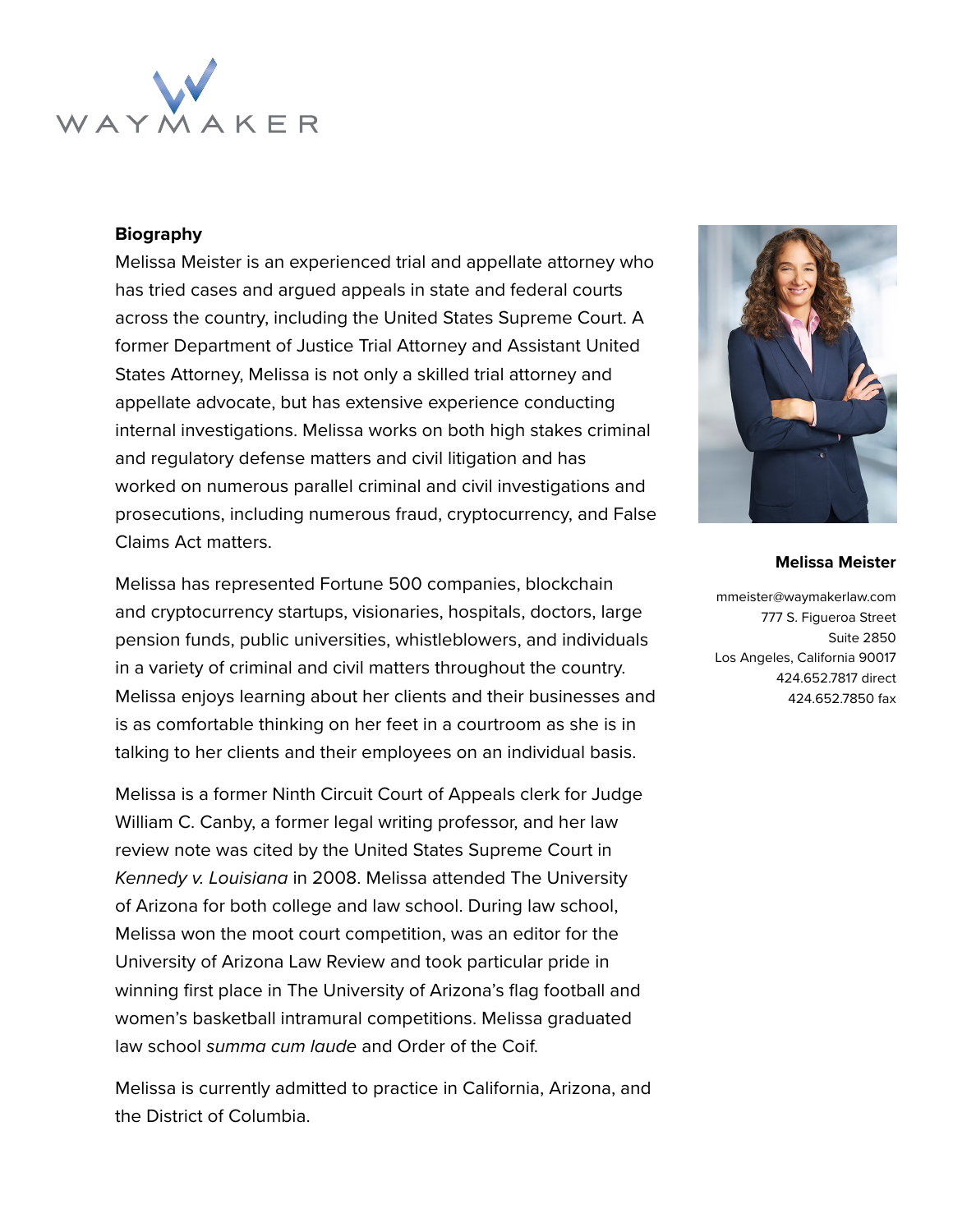

## **Biography**

Melissa Meister is an experienced trial and appellate attorney who has tried cases and argued appeals in state and federal courts across the country, including the United States Supreme Court. A former Department of Justice Trial Attorney and Assistant United States Attorney, Melissa is not only a skilled trial attorney and appellate advocate, but has extensive experience conducting internal investigations. Melissa works on both high stakes criminal and regulatory defense matters and civil litigation and has worked on numerous parallel criminal and civil investigations and prosecutions, including numerous fraud, cryptocurrency, and False Claims Act matters.

Melissa has represented Fortune 500 companies, blockchain and cryptocurrency startups, visionaries, hospitals, doctors, large pension funds, public universities, whistleblowers, and individuals in a variety of criminal and civil matters throughout the country. Melissa enjoys learning about her clients and their businesses and is as comfortable thinking on her feet in a courtroom as she is in talking to her clients and their employees on an individual basis.

Melissa is a former Ninth Circuit Court of Appeals clerk for Judge William C. Canby, a former legal writing professor, and her law review note was cited by the United States Supreme Court in Kennedy v. Louisiana in 2008. Melissa attended The University of Arizona for both college and law school. During law school, Melissa won the moot court competition, was an editor for the University of Arizona Law Review and took particular pride in winning first place in The University of Arizona's flag football and women's basketball intramural competitions. Melissa graduated law school summa cum laude and Order of the Coif.

Melissa is currently admitted to practice in California, Arizona, and the District of Columbia.



## **Melissa Meister**

mmeister@waymakerlaw.com 777 S. Figueroa Street Suite 2850 Los Angeles, California 90017 424.652.7817 direct 424.652.7850 fax